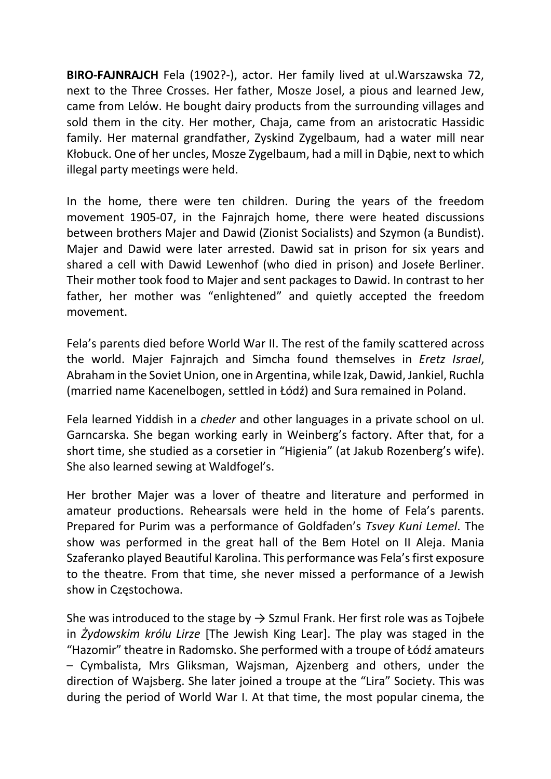BIRO-FAJNRAJCH Fela (1902?-), actor. Her family lived at ul.Warszawska 72, next to the Three Crosses. Her father, Mosze Josel, a pious and learned Jew, came from Lelów. He bought dairy products from the surrounding villages and sold them in the city. Her mother, Chaja, came from an aristocratic Hassidic family. Her maternal grandfather, Zyskind Zygelbaum, had a water mill near Kłobuck. One of her uncles, Mosze Zygelbaum, had a mill in Dąbie, next to which illegal party meetings were held.

In the home, there were ten children. During the years of the freedom movement 1905-07, in the Fajnrajch home, there were heated discussions between brothers Majer and Dawid (Zionist Socialists) and Szymon (a Bundist). Majer and Dawid were later arrested. Dawid sat in prison for six years and shared a cell with Dawid Lewenhof (who died in prison) and Josełe Berliner. Their mother took food to Majer and sent packages to Dawid. In contrast to her father, her mother was "enlightened" and quietly accepted the freedom movement.

Fela's parents died before World War II. The rest of the family scattered across the world. Majer Fajnrajch and Simcha found themselves in Eretz Israel, Abraham in the Soviet Union, one in Argentina, while Izak, Dawid, Jankiel, Ruchla (married name Kacenelbogen, settled in Łódź) and Sura remained in Poland.

Fela learned Yiddish in a cheder and other languages in a private school on ul. Garncarska. She began working early in Weinberg's factory. After that, for a short time, she studied as a corsetier in "Higienia" (at Jakub Rozenberg's wife). She also learned sewing at Waldfogel's.

Her brother Majer was a lover of theatre and literature and performed in amateur productions. Rehearsals were held in the home of Fela's parents. Prepared for Purim was a performance of Goldfaden's Tsvey Kuni Lemel. The show was performed in the great hall of the Bem Hotel on II Aleja. Mania Szaferanko played Beautiful Karolina. This performance was Fela's first exposure to the theatre. From that time, she never missed a performance of a Jewish show in Częstochowa.

She was introduced to the stage by  $\rightarrow$  Szmul Frank. Her first role was as Tojbełe in Żydowskim królu Lirze [The Jewish King Lear]. The play was staged in the "Hazomir" theatre in Radomsko. She performed with a troupe of Łódź amateurs – Cymbalista, Mrs Gliksman, Wajsman, Ajzenberg and others, under the direction of Wajsberg. She later joined a troupe at the "Lira" Society. This was during the period of World War I. At that time, the most popular cinema, the